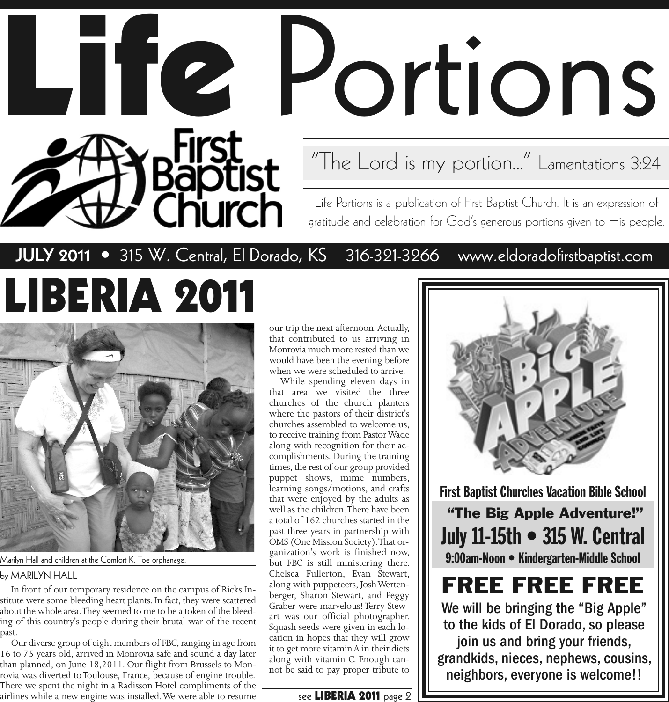# **Life** Portions

"The Lord is my portion..." Lamentations 3:24

Life Portions is a publication of First Baptist Church. It is an expression of gratitude and celebration for God's generous portions given to His people.

#### **JULY 2011** • 315 W. Central, El Dorado, KS 316-321-3266 www.eldoradofirstbaptist.com

Baptist<br>Church

# **LIBERIA 2011**



Marilyn Hall and children at the Comfort K. Toe orphanage.

by MARILYN HALL

In front of our temporary residence on the campus of Ricks Institute were some bleeding heart plants. In fact, they were scattered about the whole area. They seemed to me to be a token of the bleeding of this country's people during their brutal war of the recent past.

Our diverse group of eight members of FBC, ranging in age from 16 to 75 years old, arrived in Monrovia safe and sound a day later than planned, on June 18,2011. Our flight from Brussels to Monrovia was diverted to Toulouse, France, because of engine trouble. There we spent the night in a Radisson Hotel compliments of the airlines while a new engine was installed. We were able to resume

our trip the next afternoon. Actually, that contributed to us arriving in Monrovia much more rested than we would have been the evening before when we were scheduled to arrive.

While spending eleven days in that area we visited the three churches of the church planters where the pastors of their district's churches assembled to welcome us, to receive training from Pastor Wade along with recognition for their accomplishments. During the training times, the rest of our group provided puppet shows, mime numbers, learning songs/motions, and crafts that were enjoyed by the adults as well as the children. There have been a total of 162 churches started in the past three years in partnership with OMS (One Mission Society). That organization's work is finished now, but FBC is still ministering there. Chelsea Fullerton, Evan Stewart, along with puppeteers, Josh Wertenberger, Sharon Stewart, and Peggy Graber were marvelous! Terry Stewart was our official photographer. Squash seeds were given in each location in hopes that they will grow it to get more vitamin A in their diets along with vitamin C. Enough cannot be said to pay proper tribute to

#### see **LIBERIA 2011** page 2

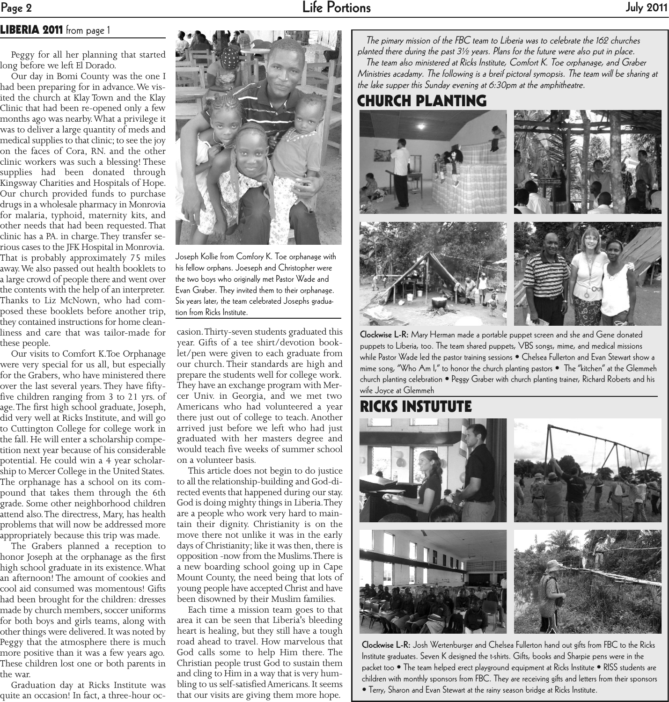#### **LIBERIA 2011** from page 1

Peggy for all her planning that started long before we left El Dorado.

Our day in Bomi County was the one I had been preparing for in advance. We visited the church at Klay Town and the Klay Clinic that had been re-opened only a few months ago was nearby. What a privilege it was to deliver a large quantity of meds and medical supplies to that clinic; to see the joy on the faces of Cora, RN. and the other clinic workers was such a blessing! These supplies had been donated through Kingsway Charities and Hospitals of Hope. Our church provided funds to purchase drugs in a wholesale pharmacy in Monrovia for malaria, typhoid, maternity kits, and other needs that had been requested. That clinic has a PA. in charge. They transfer serious cases to the JFK Hospital in Monrovia. That is probably approximately 75 miles away. We also passed out health booklets to a large crowd of people there and went over the contents with the help of an interpreter. Thanks to Liz McNown, who had composed these booklets before another trip, they contained instructions for home cleanliness and care that was tailor-made for these people.

Our visits to Comfort K.Toe Orphanage were very special for us all, but especially for the Grabers, who have ministered there over the last several years. They have fiftyfive children ranging from 3 to 21 yrs. of age. The first high school graduate, Joseph, did very well at Ricks Institute, and will go to Cuttington College for college work in the fall. He will enter a scholarship competition next year because of his considerable potential. He could win a 4 year scholarship to Mercer College in the United States. The orphanage has a school on its compound that takes them through the 6th grade. Some other neighborhood children attend also. The directress, Mary, has health problems that will now be addressed more appropriately because this trip was made.

The Grabers planned a reception to honor Joseph at the orphanage as the first high school graduate in its existence. What an afternoon! The amount of cookies and cool aid consumed was momentous! Gifts had been brought for the children: dresses made by church members, soccer uniforms for both boys and girls teams, along with other things were delivered. It was noted by Peggy that the atmosphere there is much more positive than it was a few years ago. These children lost one or both parents in the war.

Graduation day at Ricks Institute was quite an occasion! In fact, a three-hour oc-



Joseph Kollie from Comfory K. Toe orphanage with his fellow orphans. Joeseph and Christopher were the two boys who originally met Pastor Wade and Evan Graber. They invited them to their orphanage. Six years later, the team celebrated Josephs graduation from Ricks Institute.

casion. Thirty-seven students graduated this year. Gifts of a tee shirt/devotion booklet/pen were given to each graduate from our church. Their standards are high and prepare the students well for college work. They have an exchange program with Mercer Univ. in Georgia, and we met two Americans who had volunteered a year there just out of college to teach. Another arrived just before we left who had just graduated with her masters degree and would teach five weeks of summer school on a volunteer basis.

This article does not begin to do justice to all the relationship-building and God-directed events that happened during our stay. God is doing mighty things in Liberia. They are a people who work very hard to maintain their dignity. Christianity is on the move there not unlike it was in the early days of Christianity; like it was then, there is opposition -now from the Muslims. There is a new boarding school going up in Cape Mount County, the need being that lots of young people have accepted Christ and have been disowned by their Muslim families.

Each time a mission team goes to that area it can be seen that Liberia's bleeding heart is healing, but they still have a tough road ahead to travel. How marvelous that God calls some to help Him there. The Christian people trust God to sustain them and cling to Him in a way that is very humbling to us self-satisfied Americans. It seems that our visits are giving them more hope.

The pimary mission of the FBC team to Liberia was to celebrate the 162 churches planted there during the past 3½ years. Plans for the future were also put in place. The team also ministered at Ricks Institute, Comfort K. Toe orphanage, and Graber Ministries acadamy. The following is a breif pictoral symopsis. The team will be sharing at the lake supper this Sunday evening at 6:30pm at the amphitheatre.

**CHURCH PLANTING**



**Clockwise L-R:** Mary Herman made a portable puppet screen and she and Gene donated puppets to Liberia, too. The team shared puppets, VBS songs, mime, and medical missions while Pastor Wade led the pastor training sessions • Chelsea Fullerton and Evan Stewart show a mime song, "Who Am I," to honor the church planting pastors • The "kitchen" at the Glemmeh church planting celebration • Peggy Graber with church planting trainer, Richard Roberts and his wife Joyce at Glemmeh

#### **RICKS INSTUTUTE**



**Clockwise L-R:** Josh Wertenburger and Chelsea Fullerton hand out gifts from FBC to the Ricks Institute graduates. Seven K designed the t-shirts. Gifts, books and Sharpie pens were in the packet too • The team helped erect playground equipment at Ricks Institute • RISS students are children with monthly sponsors from FBC. They are receiving gifts and letters from their sponsors • Terry, Sharon and Evan Stewart at the rainy season bridge at Ricks Institute.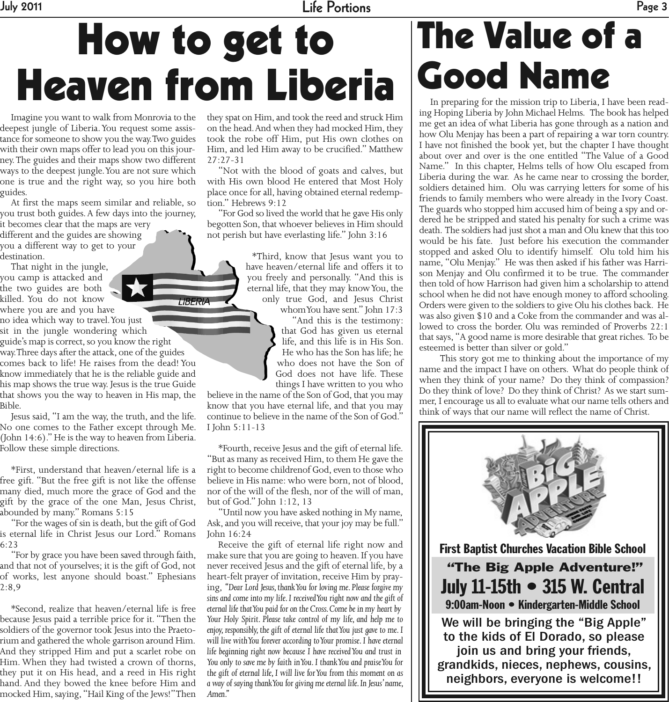**July 2011 Life Portions Page 3**

## **How to get to Heaven from Liberia**

LIBERIA

Imagine you want to walk from Monrovia to the deepest jungle of Liberia. You request some assistance for someone to show you the way. Two guides with their own maps offer to lead you on this journey. The guides and their maps show two different ways to the deepest jungle. You are not sure which one is true and the right way, so you hire both guides.

At first the maps seem similar and reliable, so you trust both guides. A few days into the journey,

it becomes clear that the maps are very different and the guides are showing you a different way to get to your destination.

That night in the jungle, you camp is attacked and the two guides are both killed. You do not know where you are and you have no idea which way to travel. You just

sit in the jungle wondering which guide's map is correct, so you know the right way. Three days after the attack, one of the guides comes back to life! He raises from the dead! You know immediately that he is the reliable guide and his map shows the true way. Jesus is the true Guide that shows you the way to heaven in His map, the Bible.

Jesus said, "I am the way, the truth, and the life. No one comes to the Father except through Me. (John 14:6)." He is the way to heaven from Liberia. Follow these simple directions.

\*First, understand that heaven/eternal life is a free gift. "But the free gift is not like the offense many died, much more the grace of God and the gift by the grace of the one Man, Jesus Christ, abounded by many." Romans 5:15

"For the wages of sin is death, but the gift of God is eternal life in Christ Jesus our Lord." Romans 6:23

"For by grace you have been saved through faith, and that not of yourselves; it is the gift of God, not of works, lest anyone should boast." Ephesians 2:8,9

\*Second, realize that heaven/eternal life is free because Jesus paid a terrible price for it. "Then the soldiers of the governor took Jesus into the Praetorium and gathered the whole garrison around Him. And they stripped Him and put a scarlet robe on Him. When they had twisted a crown of thorns, they put it on His head, and a reed in His right hand. And they bowed the knee before Him and mocked Him, saying, "Hail King of the Jews!" Then

they spat on Him, and took the reed and struck Him on the head. And when they had mocked Him, they took the robe off Him, put His own clothes on Him, and led Him away to be crucified." Matthew 27:27-31

"Not with the blood of goats and calves, but with His own blood He entered that Most Holy place once for all, having obtained eternal redemption." Hebrews 9:12

"For God so lived the world that he gave His only begotten Son, that whoever believes in Him should not perish but have everlasting life." John 3:16

> \*Third, know that Jesus want you to have heaven/eternal life and offers it to you freely and personally. "And this is eternal life, that they may know You, the only true God, and Jesus Christ

whom You have sent." John 17:3 "And this is the testimony: that God has given us eternal life, and this life is in His Son. He who has the Son has life; he who does not have the Son of God does not have life. These things I have written to you who

believe in the name of the Son of God, that you may know that you have eternal life, and that you may continue to believe in the name of the Son of God." I John 5:11-13

\*Fourth, receive Jesus and the gift of eternal life. "But as many as received Him, to them He gave the right to become childrenof God, even to those who believe in His name: who were born, not of blood, nor of the will of the flesh, nor of the will of man, but of God." John 1:12, 13

"Until now you have asked nothing in My name, Ask, and you will receive, that your joy may be full." John 16:24

Receive the gift of eternal life right now and make sure that you are going to heaven. If you have never received Jesus and the gift of eternal life, by a heart-felt prayer of invitation, receive Him by praying, *"Dear Lord Jesus, thank You for loving me. Please forgive my sins and come into my life. I received You right now and the gift of eternal life that You paid for on the Cross. Come be in my heart by Your Holy Spirit. Please take control of my life, and help me to enjoy, responsibly, the gift of eternal life that You just gave to me. I will live with You forever according to Your promise. I have eternal life beginning right now because I have received You and trust in You only to save me by faith in You. I thank You and praise You for the gift of eternal life, I will live for You from this moment on as a way of saying thank You for giving me eternal life. In Jesus' name, Amen."*

### **The Value of a Good Name**

In preparing for the mission trip to Liberia, I have been reading Hoping Liberia by John Michael Helms. The book has helped me get an idea of what Liberia has gone through as a nation and how Olu Menjay has been a part of repairing a war torn country. I have not finished the book yet, but the chapter I have thought about over and over is the one entitled "The Value of a Good Name." In this chapter, Helms tells of how Olu escaped from Liberia during the war. As he came near to crossing the border, soldiers detained him. Olu was carrying letters for some of his friends to family members who were already in the Ivory Coast. The guards who stopped him accused him of being a spy and ordered he be stripped and stated his penalty for such a crime was death. The soldiers had just shot a man and Olu knew that this too would be his fate. Just before his execution the commander stopped and asked Olu to identify himself. Olu told him his name, "Olu Menjay." He was then asked if his father was Harrison Menjay and Olu confirmed it to be true. The commander then told of how Harrison had given him a scholarship to attend school when he did not have enough money to afford schooling. Orders were given to the soldiers to give Olu his clothes back. He was also given \$10 and a Coke from the commander and was allowed to cross the border. Olu was reminded of Proverbs 22:1 that says, "A good name is more desirable that great riches. To be esteemed is better than silver or gold."

This story got me to thinking about the importance of my name and the impact I have on others. What do people think of when they think of your name? Do they think of compassion? Do they think of love? Do they think of Christ? As we start summer, I encourage us all to evaluate what our name tells others and think of ways that our name will reflect the name of Christ.